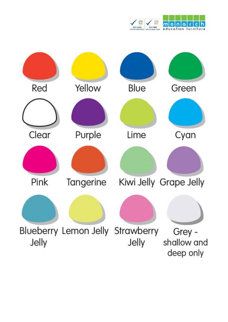

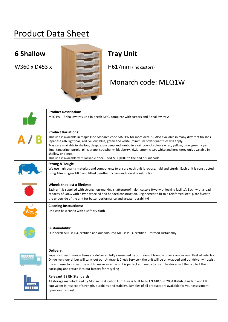## Product Data Sheet



## Monarch code: MEQ1W

| <b>Product Description:</b><br>MEQ1W - 6 shallow tray unit in beech MFC, complete with castors and 6 shallow trays                                                                                                                                                                                                                                                                                                                                                                                                                                                                                                    |
|-----------------------------------------------------------------------------------------------------------------------------------------------------------------------------------------------------------------------------------------------------------------------------------------------------------------------------------------------------------------------------------------------------------------------------------------------------------------------------------------------------------------------------------------------------------------------------------------------------------------------|
| <b>Product Variations:</b><br>This unit is available in maple (see Monarch code MAP1W for more details). Also available in many different finishes –<br>Japanese ash, light oak, red, yellow, blue, green and white (minimum order quantities will apply).<br>Trays are available in shallow, deep, extra deep and jumbo in a rainbow of colours - red, yellow, blue, green, cyan,<br>lime, tangerine, purple, pink, grape, strawberry, blueberry, kiwi, lemon, clear, white and grey (grey only available in<br>shallow or deep).<br>This unit is available with lockable door - add MEQ1001 to the end of unit code |
| <b>Strong &amp; Tough:</b><br>We use high quality materials and components to ensure each unit is robust, rigid and sturdy! Each unit is constructed<br>using 18mm Egger MFC and fitted together by cam and dowel construction                                                                                                                                                                                                                                                                                                                                                                                        |
| Wheels that last a lifetime:<br>Each unit is supplied with strong non-marking shatterproof nylon castors (two with locking facility). Each with a load<br>capacity of 58KG with a twin wheeled and hooded construction. Engineered to fit to a reinforced steel plate fixed to<br>the underside of the unit for better performance and greater durability!                                                                                                                                                                                                                                                            |
| <b>Cleaning Instructions:</b><br>Unit can be cleaned with a soft dry cloth                                                                                                                                                                                                                                                                                                                                                                                                                                                                                                                                            |
| Sustainability:<br>Our beech MFC is FSC certified and our coloured MFC is PEFC certified – farmed sustainably                                                                                                                                                                                                                                                                                                                                                                                                                                                                                                         |
| Delivery:<br>Super-fast lead times - items are delivered fully assembled by our team of friendly drivers on our own fleet of vehicles.<br>On delivery our driver will carry out our Unwrap & Check Service - the unit will be unwrapped and our driver will assist<br>the end user to inspect the unit to make sure the unit is perfect and ready to use! The driver will then collect the<br>packaging and return it to our factory for recycling                                                                                                                                                                    |
| <b>Relevant BS EN Standards:</b><br>All storage manufactured by Monarch Education Furniture is built to BS EN 14073-3:2004 British Standard and EU<br>equivalent in respect of strength, durability and stability. Samples of all products are available for your assessment<br>upon your request                                                                                                                                                                                                                                                                                                                     |